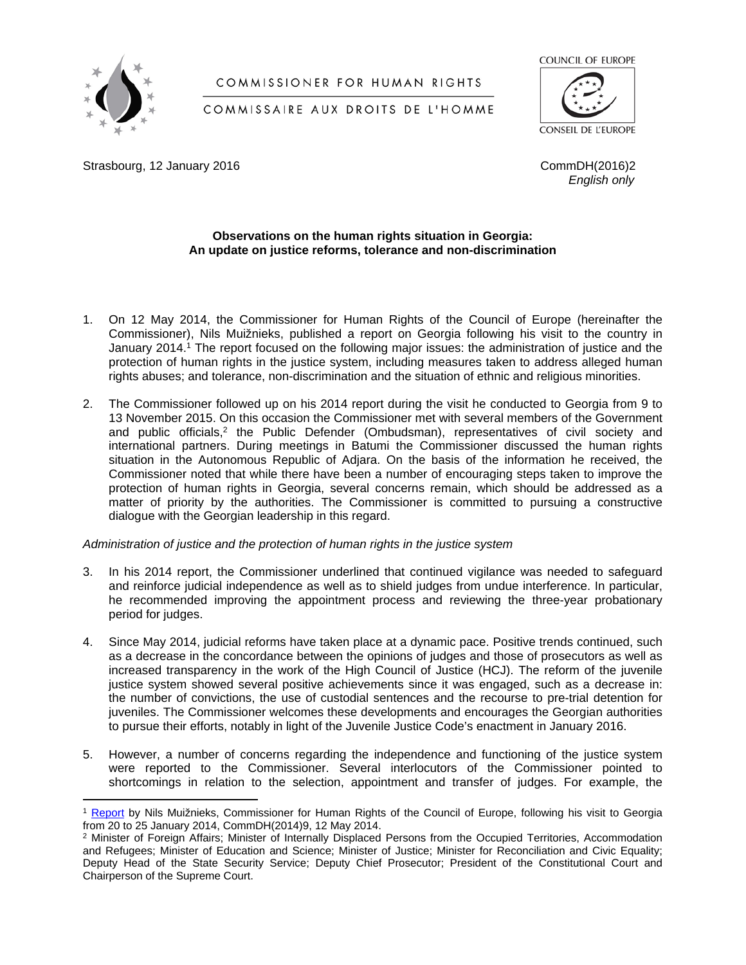

# COMMISSIONER FOR HUMAN RIGHTS

# COUNCIL OF EUROPE

COMMISSAIRE AUX DROITS DE L'HOMME

CONSEIL DE L'EUROPE

Strasbourg, 12 January 2016 **CommDH**(2016)2

*English only*

# **Observations on the human rights situation in Georgia: An update on justice reforms, tolerance and non-discrimination**

- 1. On 12 May 2014, the Commissioner for Human Rights of the Council of Europe (hereinafter the Commissioner), Nils Muižnieks, published a report on Georgia following his visit to the country in January 2014.<sup>1</sup> The report focused on the following major issues: the administration of justice and the protection of human rights in the justice system, including measures taken to address alleged human rights abuses; and tolerance, non-discrimination and the situation of ethnic and religious minorities.
- 2. The Commissioner followed up on his 2014 report during the visit he conducted to Georgia from 9 to 13 November 2015. On this occasion the Commissioner met with several members of the Government and public officials,<sup>2</sup> the Public Defender (Ombudsman), representatives of civil society and international partners. During meetings in Batumi the Commissioner discussed the human rights situation in the Autonomous Republic of Adjara. On the basis of the information he received, the Commissioner noted that while there have been a number of encouraging steps taken to improve the protection of human rights in Georgia, several concerns remain, which should be addressed as a matter of priority by the authorities. The Commissioner is committed to pursuing a constructive dialogue with the Georgian leadership in this regard.

# *Administration of justice and the protection of human rights in the justice system*

- 3. In his 2014 report, the Commissioner underlined that continued vigilance was needed to safeguard and reinforce judicial independence as well as to shield judges from undue interference. In particular, he recommended improving the appointment process and reviewing the three-year probationary period for judges.
- 4. Since May 2014, judicial reforms have taken place at a dynamic pace. Positive trends continued, such as a decrease in the concordance between the opinions of judges and those of prosecutors as well as increased transparency in the work of the High Council of Justice (HCJ). The reform of the juvenile justice system showed several positive achievements since it was engaged, such as a decrease in: the number of convictions, the use of custodial sentences and the recourse to pre-trial detention for juveniles. The Commissioner welcomes these developments and encourages the Georgian authorities to pursue their efforts, notably in light of the Juvenile Justice Code's enactment in January 2016.
- 5. However, a number of concerns regarding the independence and functioning of the justice system were reported to the Commissioner. Several interlocutors of the Commissioner pointed to shortcomings in relation to the selection, appointment and transfer of judges. For example, the

<sup>1</sup> [Report](https://wcd.coe.int/com.instranet.InstraServlet?Index=no&command=com.instranet.CmdBlobGet&InstranetImage=2547700&SecMode=1&DocId=2139964&Usage=2) by Nils Muižnieks, Commissioner for Human Rights of the Council of Europe, following his visit to Georgia from 20 to 25 January 2014, CommDH(2014)9, 12 May 2014.

<sup>2</sup> Minister of Foreign Affairs; Minister of Internally Displaced Persons from the Occupied Territories, Accommodation and Refugees; Minister of Education and Science; Minister of Justice; Minister for Reconciliation and Civic Equality; Deputy Head of the State Security Service; Deputy Chief Prosecutor; President of the Constitutional Court and Chairperson of the Supreme Court.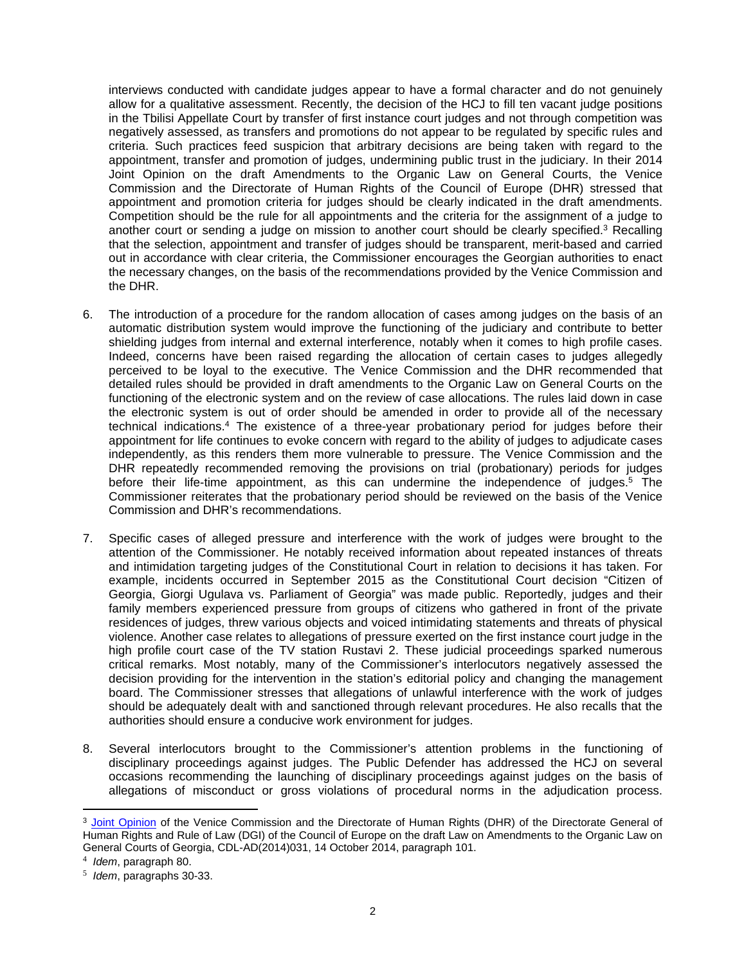interviews conducted with candidate judges appear to have a formal character and do not genuinely allow for a qualitative assessment. Recently, the decision of the HCJ to fill ten vacant judge positions in the Tbilisi Appellate Court by transfer of first instance court judges and not through competition was negatively assessed, as transfers and promotions do not appear to be regulated by specific rules and criteria. Such practices feed suspicion that arbitrary decisions are being taken with regard to the appointment, transfer and promotion of judges, undermining public trust in the judiciary. In their 2014 Joint Opinion on the draft Amendments to the Organic Law on General Courts, the Venice Commission and the Directorate of Human Rights of the Council of Europe (DHR) stressed that appointment and promotion criteria for judges should be clearly indicated in the draft amendments. Competition should be the rule for all appointments and the criteria for the assignment of a judge to another court or sending a judge on mission to another court should be clearly specified.<sup>3</sup> Recalling that the selection, appointment and transfer of judges should be transparent, merit-based and carried out in accordance with clear criteria, the Commissioner encourages the Georgian authorities to enact the necessary changes, on the basis of the recommendations provided by the Venice Commission and the DHR.

- 6. The introduction of a procedure for the random allocation of cases among judges on the basis of an automatic distribution system would improve the functioning of the judiciary and contribute to better shielding judges from internal and external interference, notably when it comes to high profile cases. Indeed, concerns have been raised regarding the allocation of certain cases to judges allegedly perceived to be loyal to the executive. The Venice Commission and the DHR recommended that detailed rules should be provided in draft amendments to the Organic Law on General Courts on the functioning of the electronic system and on the review of case allocations. The rules laid down in case the electronic system is out of order should be amended in order to provide all of the necessary technical indications.<sup>4</sup> The existence of a three-year probationary period for judges before their appointment for life continues to evoke concern with regard to the ability of judges to adjudicate cases independently, as this renders them more vulnerable to pressure. The Venice Commission and the DHR repeatedly recommended removing the provisions on trial (probationary) periods for judges before their life-time appointment, as this can undermine the independence of judges.<sup>5</sup> The Commissioner reiterates that the probationary period should be reviewed on the basis of the Venice Commission and DHR's recommendations.
- 7. Specific cases of alleged pressure and interference with the work of judges were brought to the attention of the Commissioner. He notably received information about repeated instances of threats and intimidation targeting judges of the Constitutional Court in relation to decisions it has taken. For example, incidents occurred in September 2015 as the Constitutional Court decision "Citizen of Georgia, Giorgi Ugulava vs. Parliament of Georgia" was made public. Reportedly, judges and their family members experienced pressure from groups of citizens who gathered in front of the private residences of judges, threw various objects and voiced intimidating statements and threats of physical violence. Another case relates to allegations of pressure exerted on the first instance court judge in the high profile court case of the TV station Rustavi 2. These judicial proceedings sparked numerous critical remarks. Most notably, many of the Commissioner's interlocutors negatively assessed the decision providing for the intervention in the station's editorial policy and changing the management board. The Commissioner stresses that allegations of unlawful interference with the work of judges should be adequately dealt with and sanctioned through relevant procedures. He also recalls that the authorities should ensure a conducive work environment for judges.
- 8. Several interlocutors brought to the Commissioner's attention problems in the functioning of disciplinary proceedings against judges. The Public Defender has addressed the HCJ on several occasions recommending the launching of disciplinary proceedings against judges on the basis of allegations of misconduct or gross violations of procedural norms in the adjudication process.

<sup>&</sup>lt;sup>3</sup> [Joint Opinion](http://www.venice.coe.int/webforms/documents/default.aspx?pdffile=CDL-AD(2014)031-e) of the Venice Commission and the Directorate of Human Rights (DHR) of the Directorate General of Human Rights and Rule of Law (DGI) of the Council of Europe on the draft Law on Amendments to the Organic Law on General Courts of Georgia, CDL-AD(2014)031, 14 October 2014, paragraph 101.

<sup>4</sup> *Idem*, paragraph 80.

<sup>5</sup> *Idem*, paragraphs 30-33.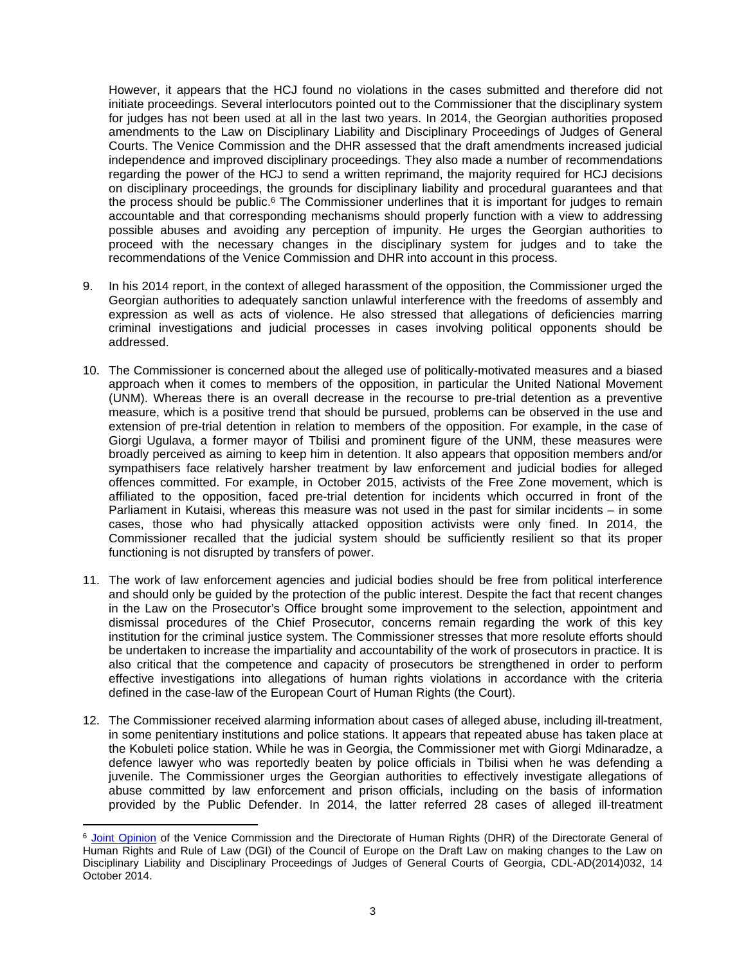However, it appears that the HCJ found no violations in the cases submitted and therefore did not initiate proceedings. Several interlocutors pointed out to the Commissioner that the disciplinary system for judges has not been used at all in the last two years. In 2014, the Georgian authorities proposed amendments to the Law on Disciplinary Liability and Disciplinary Proceedings of Judges of General Courts. The Venice Commission and the DHR assessed that the draft amendments increased judicial independence and improved disciplinary proceedings. They also made a number of recommendations regarding the power of the HCJ to send a written reprimand, the majority required for HCJ decisions on disciplinary proceedings, the grounds for disciplinary liability and procedural guarantees and that the process should be public.<sup>6</sup> The Commissioner underlines that it is important for judges to remain accountable and that corresponding mechanisms should properly function with a view to addressing possible abuses and avoiding any perception of impunity. He urges the Georgian authorities to proceed with the necessary changes in the disciplinary system for judges and to take the recommendations of the Venice Commission and DHR into account in this process.

- 9. In his 2014 report, in the context of alleged harassment of the opposition, the Commissioner urged the Georgian authorities to adequately sanction unlawful interference with the freedoms of assembly and expression as well as acts of violence. He also stressed that allegations of deficiencies marring criminal investigations and judicial processes in cases involving political opponents should be addressed.
- 10. The Commissioner is concerned about the alleged use of politically-motivated measures and a biased approach when it comes to members of the opposition, in particular the United National Movement (UNM). Whereas there is an overall decrease in the recourse to pre-trial detention as a preventive measure, which is a positive trend that should be pursued, problems can be observed in the use and extension of pre-trial detention in relation to members of the opposition. For example, in the case of Giorgi Ugulava, a former mayor of Tbilisi and prominent figure of the UNM, these measures were broadly perceived as aiming to keep him in detention. It also appears that opposition members and/or sympathisers face relatively harsher treatment by law enforcement and judicial bodies for alleged offences committed. For example, in October 2015, activists of the Free Zone movement, which is affiliated to the opposition, faced pre-trial detention for incidents which occurred in front of the Parliament in Kutaisi, whereas this measure was not used in the past for similar incidents – in some cases, those who had physically attacked opposition activists were only fined. In 2014, the Commissioner recalled that the judicial system should be sufficiently resilient so that its proper functioning is not disrupted by transfers of power.
- 11. The work of law enforcement agencies and judicial bodies should be free from political interference and should only be guided by the protection of the public interest. Despite the fact that recent changes in the Law on the Prosecutor's Office brought some improvement to the selection, appointment and dismissal procedures of the Chief Prosecutor, concerns remain regarding the work of this key institution for the criminal justice system. The Commissioner stresses that more resolute efforts should be undertaken to increase the impartiality and accountability of the work of prosecutors in practice. It is also critical that the competence and capacity of prosecutors be strengthened in order to perform effective investigations into allegations of human rights violations in accordance with the criteria defined in the case-law of the European Court of Human Rights (the Court).
- 12. The Commissioner received alarming information about cases of alleged abuse, including ill-treatment, in some penitentiary institutions and police stations. It appears that repeated abuse has taken place at the Kobuleti police station. While he was in Georgia, the Commissioner met with Giorgi Mdinaradze, a defence lawyer who was reportedly beaten by police officials in Tbilisi when he was defending a juvenile. The Commissioner urges the Georgian authorities to effectively investigate allegations of abuse committed by law enforcement and prison officials, including on the basis of information provided by the Public Defender. In 2014, the latter referred 28 cases of alleged ill-treatment

<sup>6</sup> [Joint Opinion](http://www.venice.coe.int/webforms/documents/default.aspx?pdffile=CDL-AD(2014)032-e) of the Venice Commission and the Directorate of Human Rights (DHR) of the Directorate General of Human Rights and Rule of Law (DGI) of the Council of Europe on the Draft Law on making changes to the Law on Disciplinary Liability and Disciplinary Proceedings of Judges of General Courts of Georgia, CDL-AD(2014)032, 14 October 2014.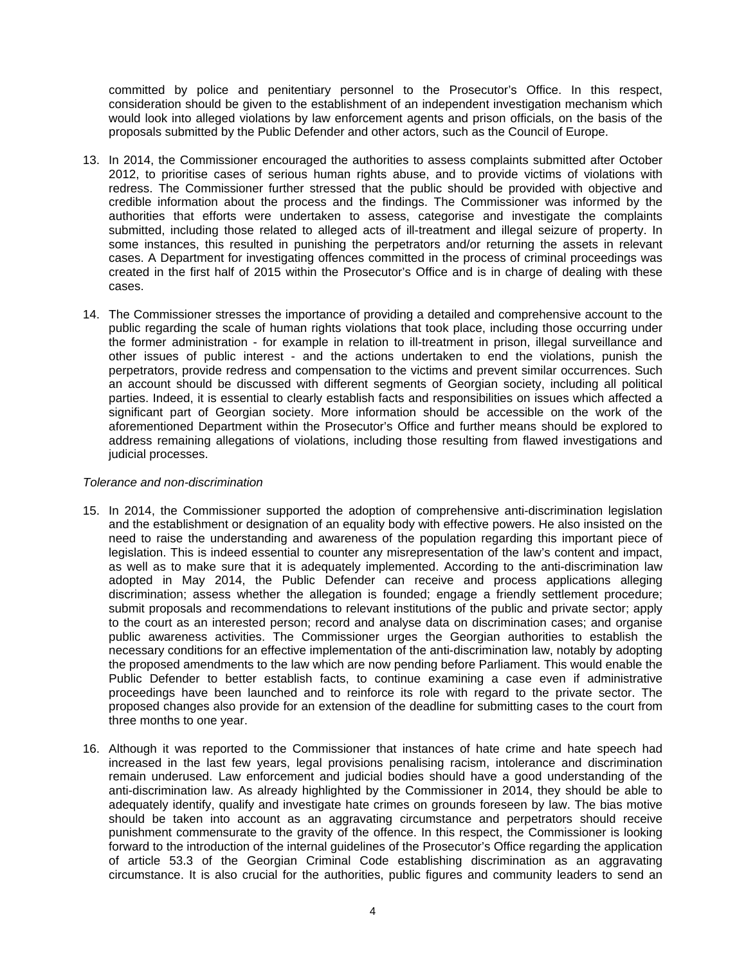committed by police and penitentiary personnel to the Prosecutor's Office. In this respect, consideration should be given to the establishment of an independent investigation mechanism which would look into alleged violations by law enforcement agents and prison officials, on the basis of the proposals submitted by the Public Defender and other actors, such as the Council of Europe.

- 13. In 2014, the Commissioner encouraged the authorities to assess complaints submitted after October 2012, to prioritise cases of serious human rights abuse, and to provide victims of violations with redress. The Commissioner further stressed that the public should be provided with objective and credible information about the process and the findings. The Commissioner was informed by the authorities that efforts were undertaken to assess, categorise and investigate the complaints submitted, including those related to alleged acts of ill-treatment and illegal seizure of property. In some instances, this resulted in punishing the perpetrators and/or returning the assets in relevant cases. A Department for investigating offences committed in the process of criminal proceedings was created in the first half of 2015 within the Prosecutor's Office and is in charge of dealing with these cases.
- 14. The Commissioner stresses the importance of providing a detailed and comprehensive account to the public regarding the scale of human rights violations that took place, including those occurring under the former administration - for example in relation to ill-treatment in prison, illegal surveillance and other issues of public interest - and the actions undertaken to end the violations, punish the perpetrators, provide redress and compensation to the victims and prevent similar occurrences. Such an account should be discussed with different segments of Georgian society, including all political parties. Indeed, it is essential to clearly establish facts and responsibilities on issues which affected a significant part of Georgian society. More information should be accessible on the work of the aforementioned Department within the Prosecutor's Office and further means should be explored to address remaining allegations of violations, including those resulting from flawed investigations and judicial processes.

### *Tolerance and non-discrimination*

- 15. In 2014, the Commissioner supported the adoption of comprehensive anti-discrimination legislation and the establishment or designation of an equality body with effective powers. He also insisted on the need to raise the understanding and awareness of the population regarding this important piece of legislation. This is indeed essential to counter any misrepresentation of the law's content and impact, as well as to make sure that it is adequately implemented. According to the anti-discrimination law adopted in May 2014, the Public Defender can receive and process applications alleging discrimination; assess whether the allegation is founded; engage a friendly settlement procedure; submit proposals and recommendations to relevant institutions of the public and private sector; apply to the court as an interested person; record and analyse data on discrimination cases; and organise public awareness activities. The Commissioner urges the Georgian authorities to establish the necessary conditions for an effective implementation of the anti-discrimination law, notably by adopting the proposed amendments to the law which are now pending before Parliament. This would enable the Public Defender to better establish facts, to continue examining a case even if administrative proceedings have been launched and to reinforce its role with regard to the private sector. The proposed changes also provide for an extension of the deadline for submitting cases to the court from three months to one year.
- 16. Although it was reported to the Commissioner that instances of hate crime and hate speech had increased in the last few years, legal provisions penalising racism, intolerance and discrimination remain underused. Law enforcement and judicial bodies should have a good understanding of the anti-discrimination law. As already highlighted by the Commissioner in 2014, they should be able to adequately identify, qualify and investigate hate crimes on grounds foreseen by law. The bias motive should be taken into account as an aggravating circumstance and perpetrators should receive punishment commensurate to the gravity of the offence. In this respect, the Commissioner is looking forward to the introduction of the internal guidelines of the Prosecutor's Office regarding the application of article 53.3 of the Georgian Criminal Code establishing discrimination as an aggravating circumstance. It is also crucial for the authorities, public figures and community leaders to send an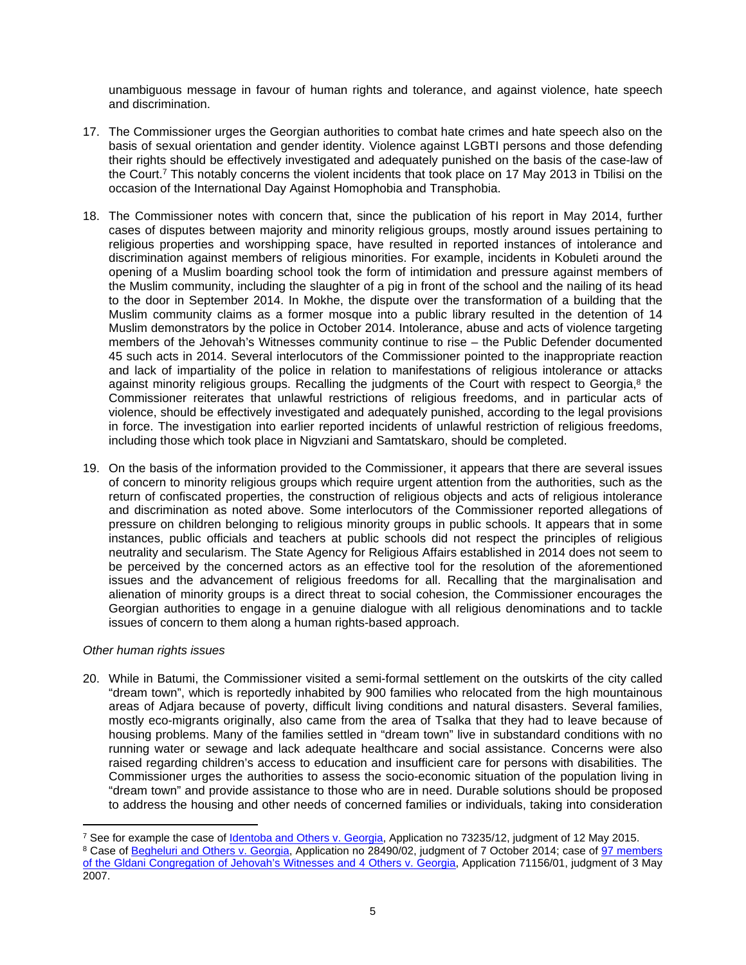unambiguous message in favour of human rights and tolerance, and against violence, hate speech and discrimination.

- 17. The Commissioner urges the Georgian authorities to combat hate crimes and hate speech also on the basis of sexual orientation and gender identity. Violence against LGBTI persons and those defending their rights should be effectively investigated and adequately punished on the basis of the case-law of the Court.<sup>7</sup> This notably concerns the violent incidents that took place on 17 May 2013 in Tbilisi on the occasion of the International Day Against Homophobia and Transphobia.
- 18. The Commissioner notes with concern that, since the publication of his report in May 2014, further cases of disputes between majority and minority religious groups, mostly around issues pertaining to religious properties and worshipping space, have resulted in reported instances of intolerance and discrimination against members of religious minorities. For example, incidents in Kobuleti around the opening of a Muslim boarding school took the form of intimidation and pressure against members of the Muslim community, including the slaughter of a pig in front of the school and the nailing of its head to the door in September 2014. In Mokhe, the dispute over the transformation of a building that the Muslim community claims as a former mosque into a public library resulted in the detention of 14 Muslim demonstrators by the police in October 2014. Intolerance, abuse and acts of violence targeting members of the Jehovah's Witnesses community continue to rise – the Public Defender documented 45 such acts in 2014. Several interlocutors of the Commissioner pointed to the inappropriate reaction and lack of impartiality of the police in relation to manifestations of religious intolerance or attacks against minority religious groups. Recalling the judgments of the Court with respect to Georgia,<sup>8</sup> the Commissioner reiterates that unlawful restrictions of religious freedoms, and in particular acts of violence, should be effectively investigated and adequately punished, according to the legal provisions in force. The investigation into earlier reported incidents of unlawful restriction of religious freedoms, including those which took place in Nigvziani and Samtatskaro, should be completed.
- 19. On the basis of the information provided to the Commissioner, it appears that there are several issues of concern to minority religious groups which require urgent attention from the authorities, such as the return of confiscated properties, the construction of religious objects and acts of religious intolerance and discrimination as noted above. Some interlocutors of the Commissioner reported allegations of pressure on children belonging to religious minority groups in public schools. It appears that in some instances, public officials and teachers at public schools did not respect the principles of religious neutrality and secularism. The State Agency for Religious Affairs established in 2014 does not seem to be perceived by the concerned actors as an effective tool for the resolution of the aforementioned issues and the advancement of religious freedoms for all. Recalling that the marginalisation and alienation of minority groups is a direct threat to social cohesion, the Commissioner encourages the Georgian authorities to engage in a genuine dialogue with all religious denominations and to tackle issues of concern to them along a human rights-based approach.

# *Other human rights issues*

20. While in Batumi, the Commissioner visited a semi-formal settlement on the outskirts of the city called "dream town", which is reportedly inhabited by 900 families who relocated from the high mountainous areas of Adjara because of poverty, difficult living conditions and natural disasters. Several families, mostly eco-migrants originally, also came from the area of Tsalka that they had to leave because of housing problems. Many of the families settled in "dream town" live in substandard conditions with no running water or sewage and lack adequate healthcare and social assistance. Concerns were also raised regarding children's access to education and insufficient care for persons with disabilities. The Commissioner urges the authorities to assess the socio-economic situation of the population living in "dream town" and provide assistance to those who are in need. Durable solutions should be proposed to address the housing and other needs of concerned families or individuals, taking into consideration

<sup>&</sup>lt;sup>7</sup> See for example the case of <u>Identoba and Others v. Georgia</u>, Application no 73235/12, judgment of 12 May 2015.

<sup>&</sup>lt;sup>8</sup> Case of [Begheluri and Others v. Georgia](http://hudoc.echr.coe.int/eng?i=001-146769), Application no 28490/02, judgment of 7 October 2014; case of 97 members [of the Gldani Congregation of Jehovah's Witnesses and 4 Others v. Georgia](http://hudoc.echr.coe.int/tur?i=001-80395), Application 71156/01, judgment of 3 May 2007.